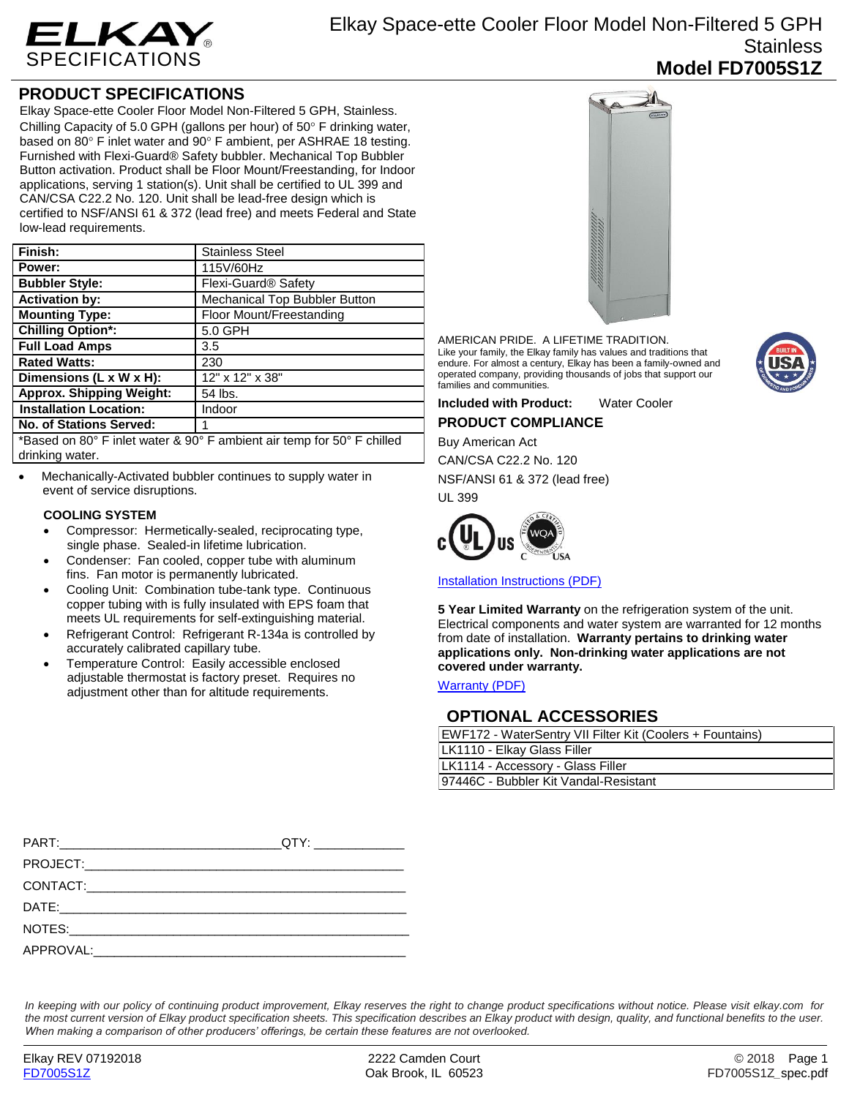

## **PRODUCT SPECIFICATIONS**

Elkay Space-ette Cooler Floor Model Non-Filtered 5 GPH, Stainless. Chilling Capacity of 5.0 GPH (gallons per hour) of 50 $\degree$  F drinking water, based on 80 $\degree$  F inlet water and 90 $\degree$  F ambient, per ASHRAE 18 testing. Furnished with Flexi-Guard® Safety bubbler. Mechanical Top Bubbler Button activation. Product shall be Floor Mount/Freestanding, for Indoor applications, serving 1 station(s). Unit shall be certified to UL 399 and CAN/CSA C22.2 No. 120. Unit shall be lead-free design which is certified to NSF/ANSI 61 & 372 (lead free) and meets Federal and State low-lead requirements.

| Finish:                                                                                                                                                                                                                                                                                        | <b>Stainless Steel</b>          |
|------------------------------------------------------------------------------------------------------------------------------------------------------------------------------------------------------------------------------------------------------------------------------------------------|---------------------------------|
| Power:                                                                                                                                                                                                                                                                                         | 115V/60Hz                       |
| <b>Bubbler Style:</b>                                                                                                                                                                                                                                                                          | Flexi-Guard <sup>®</sup> Safety |
| <b>Activation by:</b>                                                                                                                                                                                                                                                                          | Mechanical Top Bubbler Button   |
| <b>Mounting Type:</b>                                                                                                                                                                                                                                                                          | Floor Mount/Freestanding        |
| <b>Chilling Option*:</b>                                                                                                                                                                                                                                                                       | 5.0 GPH                         |
| <b>Full Load Amps</b>                                                                                                                                                                                                                                                                          | 3.5                             |
| <b>Rated Watts:</b>                                                                                                                                                                                                                                                                            | 230                             |
| Dimensions (L x W x H):                                                                                                                                                                                                                                                                        | 12" x 12" x 38"                 |
| <b>Approx. Shipping Weight:</b>                                                                                                                                                                                                                                                                | 54 lbs.                         |
| <b>Installation Location:</b>                                                                                                                                                                                                                                                                  | Indoor                          |
| <b>No. of Stations Served:</b>                                                                                                                                                                                                                                                                 |                                 |
| $\star$ , $\sim$ , $\sim$ , $\sim$ , $\sim$ , $\sim$ , $\sim$ , $\sim$ , $\sim$ , $\sim$ , $\sim$ , $\sim$ , $\sim$ , $\sim$ , $\sim$ , $\sim$ , $\sim$ , $\sim$ , $\sim$ , $\sim$ , $\sim$ , $\sim$ , $\sim$ , $\sim$ , $\sim$ , $\sim$ , $\sim$ , $\sim$ , $\sim$ , $\sim$ , $\sim$ , $\sim$ |                                 |

\*Based on 80° F inlet water & 90° F ambient air temp for 50° F chilled drinking water.

 Mechanically-Activated bubbler continues to supply water in event of service disruptions.

### **COOLING SYSTEM**

- Compressor: Hermetically-sealed, reciprocating type, single phase. Sealed-in lifetime lubrication.
- Condenser: Fan cooled, copper tube with aluminum fins. Fan motor is permanently lubricated.
- Cooling Unit: Combination tube-tank type. Continuous copper tubing with is fully insulated with EPS foam that meets UL requirements for self-extinguishing material.
- Refrigerant Control: Refrigerant R-134a is controlled by accurately calibrated capillary tube.
- Temperature Control: Easily accessible enclosed adjustable thermostat is factory preset. Requires no adjustment other than for altitude requirements.



AMERICAN PRIDE. A LIFETIME TRADITION. Like your family, the Elkay family has values and traditions that endure. For almost a century, Elkay has been a family-owned and operated company, providing thousands of jobs that support our families and communities.

**Included with Product:** Water Cooler **PRODUCT COMPLIANCE**

Buy American Act

CAN/CSA C22.2 No. 120

NSF/ANSI 61 & 372 (lead free) UL 399



[Installation Instructions \(PDF\)](http://www.elkay.com/wcsstore/lkdocs/care-cleaning-install-warranty-sheets/98634c.pdf)

**5 Year Limited Warranty** on the refrigeration system of the unit. Electrical components and water system are warranted for 12 months from date of installation. **Warranty pertains to drinking water applications only. Non-drinking water applications are not covered under warranty.**

[Warranty](http://www.elkay.com/wcsstore/lkdocs/care-cleaning-install-warranty-sheets/96993c.pdf) (PDF)

## **OPTIONAL ACCESSORIES**

| EWF172 - WaterSentry VII Filter Kit (Coolers + Fountains) |  |  |
|-----------------------------------------------------------|--|--|
| LK1110 - Elkay Glass Filler                               |  |  |
| LK1114 - Accessory - Glass Filler                         |  |  |
| 97446C - Bubbler Kit Vandal-Resistant                     |  |  |

*In keeping with our policy of continuing product improvement, Elkay reserves the right to change product specifications without notice. Please visit elkay.com for the most current version of Elkay product specification sheets. This specification describes an Elkay product with design, quality, and functional benefits to the user. When making a comparison of other producers' offerings, be certain these features are not overlooked.*